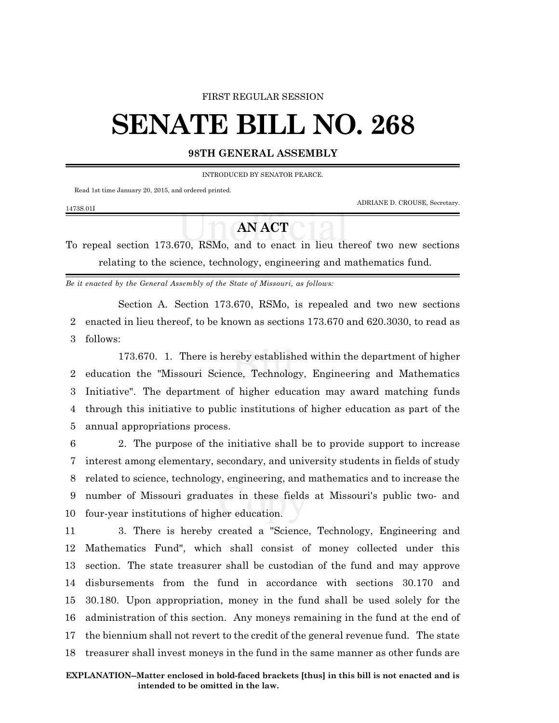#### FIRST REGULAR SESSION

# **SENATE BILL NO. 268**

### **98TH GENERAL ASSEMBLY**

INTRODUCED BY SENATOR PEARCE.

Read 1st time January 20, 2015, and ordered printed.

ADRIANE D. CROUSE, Secretary.

#### 1473S.01I

## **AN ACT**

To repeal section 173.670, RSMo, and to enact in lieu thereof two new sections relating to the science, technology, engineering and mathematics fund.

*Be it enacted by the General Assembly of the State of Missouri, as follows:*

Section A. Section 173.670, RSMo, is repealed and two new sections 2 enacted in lieu thereof, to be known as sections 173.670 and 620.3030, to read as 3 follows:

173.670. 1. There is hereby established within the department of higher education the "Missouri Science, Technology, Engineering and Mathematics Initiative". The department of higher education may award matching funds through this initiative to public institutions of higher education as part of the annual appropriations process.

 2. The purpose of the initiative shall be to provide support to increase interest among elementary, secondary, and university students in fields of study related to science, technology, engineering, and mathematics and to increase the number of Missouri graduates in these fields at Missouri's public two- and four-year institutions of higher education.

 3. There is hereby created a "Science, Technology, Engineering and Mathematics Fund", which shall consist of money collected under this section. The state treasurer shall be custodian of the fund and may approve disbursements from the fund in accordance with sections 30.170 and 30.180. Upon appropriation, money in the fund shall be used solely for the administration of this section. Any moneys remaining in the fund at the end of the biennium shall not revert to the credit of the general revenue fund. The state treasurer shall invest moneys in the fund in the same manner as other funds are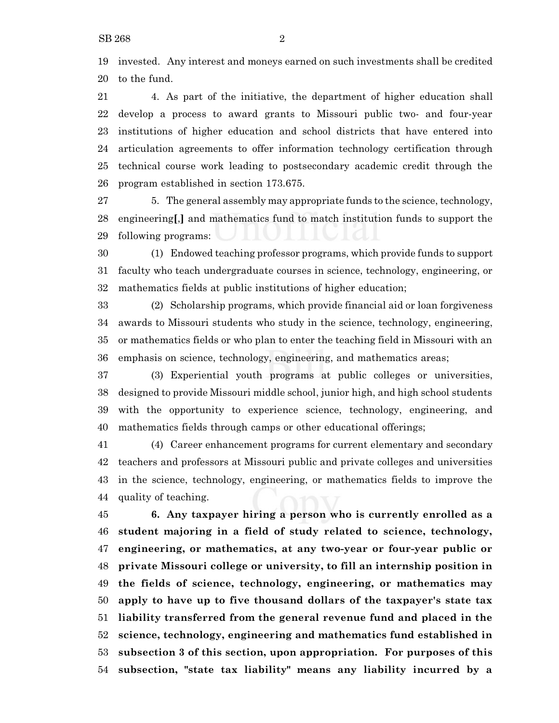invested. Any interest and moneys earned on such investments shall be credited to the fund.

 4. As part of the initiative, the department of higher education shall develop a process to award grants to Missouri public two- and four-year institutions of higher education and school districts that have entered into articulation agreements to offer information technology certification through technical course work leading to postsecondary academic credit through the program established in section 173.675.

 5. The general assembly may appropriate funds to the science, technology, engineering**[**,**]** and mathematics fund to match institution funds to support the following programs:

 (1) Endowed teaching professor programs, which provide funds to support faculty who teach undergraduate courses in science, technology, engineering, or mathematics fields at public institutions of higher education;

 (2) Scholarship programs, which provide financial aid or loan forgiveness awards to Missouri students who study in the science, technology, engineering, or mathematics fields or who plan to enter the teaching field in Missouri with an emphasis on science, technology, engineering, and mathematics areas;

 (3) Experiential youth programs at public colleges or universities, designed to provide Missouri middle school, junior high, and high school students with the opportunity to experience science, technology, engineering, and mathematics fields through camps or other educational offerings;

 (4) Career enhancement programs for current elementary and secondary teachers and professors at Missouri public and private colleges and universities in the science, technology, engineering, or mathematics fields to improve the quality of teaching.

 **6. Any taxpayer hiring a person who is currently enrolled as a student majoring in a field of study related to science, technology, engineering, or mathematics, at any two-year or four-year public or private Missouri college or university, to fill an internship position in the fields of science, technology, engineering, or mathematics may apply to have up to five thousand dollars of the taxpayer's state tax liability transferred from the general revenue fund and placed in the science, technology, engineering and mathematics fund established in subsection 3 of this section, upon appropriation. For purposes of this subsection, "state tax liability" means any liability incurred by a**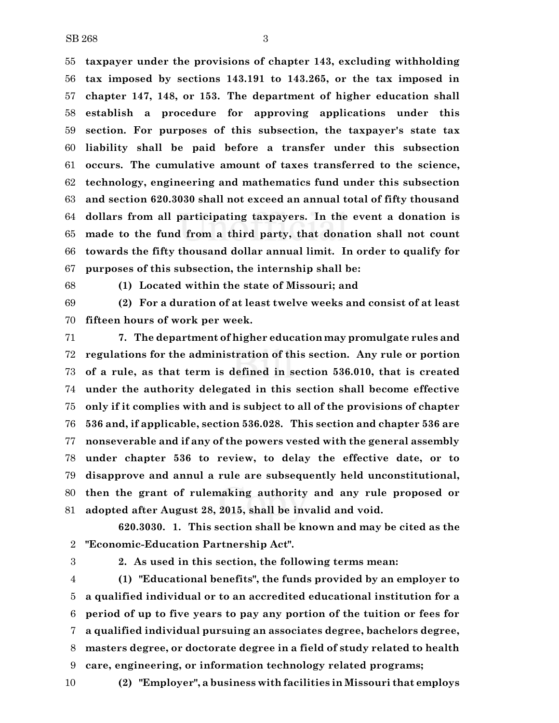SB 268 3

 **taxpayer under the provisions of chapter 143, excluding withholding tax imposed by sections 143.191 to 143.265, or the tax imposed in chapter 147, 148, or 153. The department of higher education shall establish a procedure for approving applications under this section. For purposes of this subsection, the taxpayer's state tax liability shall be paid before a transfer under this subsection occurs. The cumulative amount of taxes transferred to the science, technology, engineering and mathematics fund under this subsection and section 620.3030 shall not exceed an annual total of fifty thousand dollars from all participating taxpayers. In the event a donation is made to the fund from a third party, that donation shall not count towards the fifty thousand dollar annual limit. In order to qualify for purposes of this subsection, the internship shall be:**

**(1) Located within the state of Missouri; and**

 **(2) For a duration of at least twelve weeks and consist of at least fifteen hours of work per week.**

 **7. The department of higher education may promulgate rules and regulations for the administration of this section. Any rule or portion of a rule, as that term is defined in section 536.010, that is created under the authority delegated in this section shall become effective only if it complies with and is subject to all of the provisions of chapter 536 and, if applicable, section 536.028. This section and chapter 536 are nonseverable and if any of the powers vested with the general assembly under chapter 536 to review, to delay the effective date, or to disapprove and annul a rule are subsequently held unconstitutional, then the grant of rulemaking authority and any rule proposed or adopted after August 28, 2015, shall be invalid and void.**

**620.3030. 1. This section shall be known and may be cited as the "Economic-Education Partnership Act".**

**2. As used in this section, the following terms mean:**

 **(1) "Educational benefits", the funds provided by an employer to a qualified individual or to an accredited educational institution for a period of up to five years to pay any portion of the tuition or fees for a qualified individual pursuing an associates degree, bachelors degree, masters degree, or doctorate degree in a field of study related to health care, engineering, or information technology related programs;**

**(2) "Employer", a business with facilities in Missouri that employs**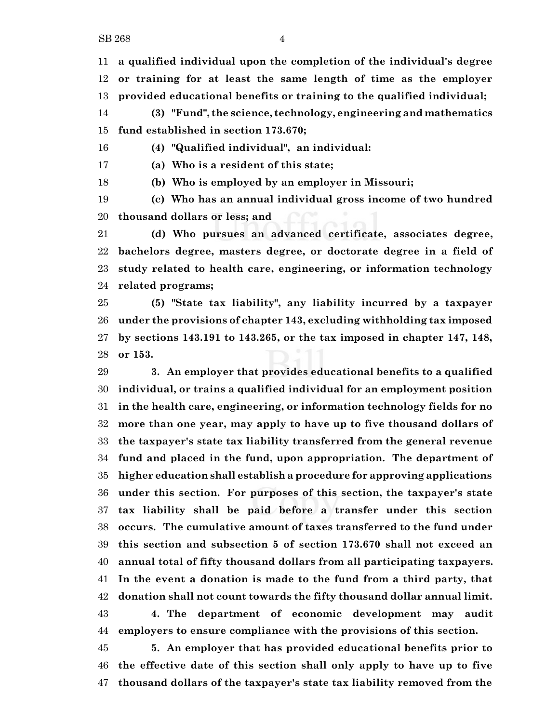**a qualified individual upon the completion of the individual's degree or training for at least the same length of time as the employer provided educational benefits or training to the qualified individual;**

 **(3) "Fund", the science, technology, engineering and mathematics fund established in section 173.670;**

**(4) "Qualified individual", an individual:**

**(a) Who is a resident of this state;**

**(b) Who is employed by an employer in Missouri;**

 **(c) Who has an annual individual gross income of two hundred thousand dollars or less; and**

 **(d) Who pursues an advanced certificate, associates degree, bachelors degree, masters degree, or doctorate degree in a field of study related to health care, engineering, or information technology related programs;**

 **(5) "State tax liability", any liability incurred by a taxpayer under the provisions of chapter 143, excluding withholding tax imposed by sections 143.191 to 143.265, or the tax imposed in chapter 147, 148, or 153.**

 **3. An employer that provides educational benefits to a qualified individual, or trains a qualified individual for an employment position in the health care, engineering, or information technology fields for no more than one year, may apply to have up to five thousand dollars of the taxpayer's state tax liability transferred from the general revenue fund and placed in the fund, upon appropriation. The department of higher education shall establish a procedure for approving applications under this section. For purposes of this section, the taxpayer's state tax liability shall be paid before a transfer under this section occurs. The cumulative amount of taxes transferred to the fund under this section and subsection 5 of section 173.670 shall not exceed an annual total of fifty thousand dollars from all participating taxpayers. In the event a donation is made to the fund from a third party, that donation shall not count towards the fifty thousand dollar annual limit. 4. The department of economic development may audit**

**employers to ensure compliance with the provisions of this section.**

 **5. An employer that has provided educational benefits prior to the effective date of this section shall only apply to have up to five thousand dollars of the taxpayer's state tax liability removed from the**